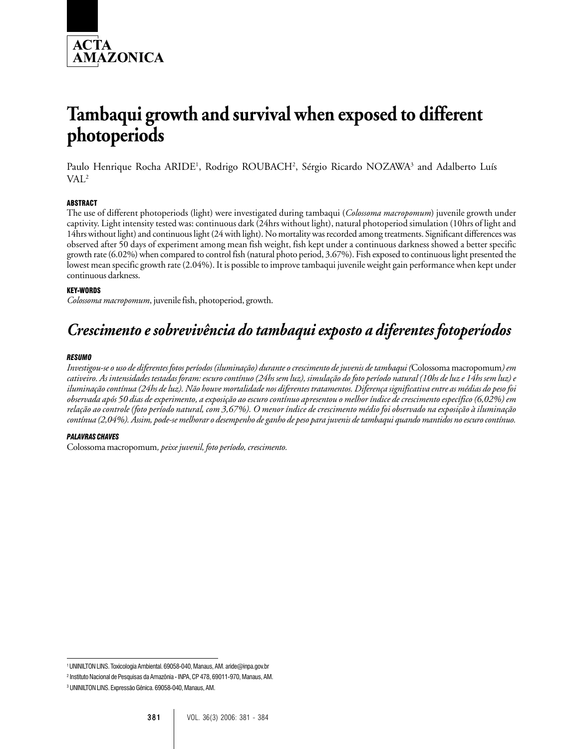

# **Tambaqui growth and survival when exposed to different photoperiods**

Paulo Henrique Rocha ARIDE<sup>1</sup>, Rodrigo ROUBACH<sup>2</sup>, Sérgio Ricardo NOZAWA<sup>3</sup> and Adalberto Luís VAL2

## ABSTRACT

The use of different photoperiods (light) were investigated during tambaqui (*Colossoma macropomum*) juvenile growth under captivity. Light intensity tested was: continuous dark (24hrs without light), natural photoperiod simulation (10hrs of light and 14hrs without light) and continuous light (24 with light). No mortality was recorded among treatments. Significant differences was observed after 50 days of experiment among mean fish weight, fish kept under a continuous darkness showed a better specific growth rate (6.02%) when compared to control fish (natural photo period, 3.67%). Fish exposed to continuous light presented the lowest mean specific growth rate (2.04%). It is possible to improve tambaqui juvenile weight gain performance when kept under continuous darkness.

### KEY-WORDS

*Colossoma macropomum*, juvenile fish, photoperiod, growth.

# *Crescimento e sobrevivência do tambaqui exposto a diferentes fotoperíodos*

#### *RESUMO*

*Investigou-se o uso de diferentes fotos períodos (iluminação) durante o crescimento de juvenis de tambaqui (*Colossoma macropomum*) em cativeiro. As intensidades testadas foram: escuro contínuo (24hs sem luz), simulação do foto período natural (10hs de luz e 14hs sem luz) e iluminação contínua (24hs de luz). Não houve mortalidade nos diferentes tratamentos. Diferença significativa entre as médias do peso foi observada após 50 dias de experimento, a exposição ao escuro contínuo apresentou o melhor índice de crescimento específico (6,02%) em relação ao controle (foto período natural, com 3,67%). O menor índice de crescimento médio foi observado na exposição à iluminação contínua (2,04%). Assim, pode-se melhorar o desempenho de ganho de peso para juvenis de tambaqui quando mantidos no escuro contínuo.*

#### *PALAVRAS CHAVES*

Colossoma macropomum*, peixe juvenil, foto período, crescimento.*

<sup>1</sup> UNINILTON LINS. Toxicologia Ambiental. 69058-040, Manaus, AM. aride@inpa.gov.br

<sup>2</sup> Instituto Nacional de Pesquisas da Amazônia - INPA, CP 478, 69011-970, Manaus, AM.

<sup>3</sup> UNINILTON LINS. Expressão Gênica. 69058-040, Manaus, AM.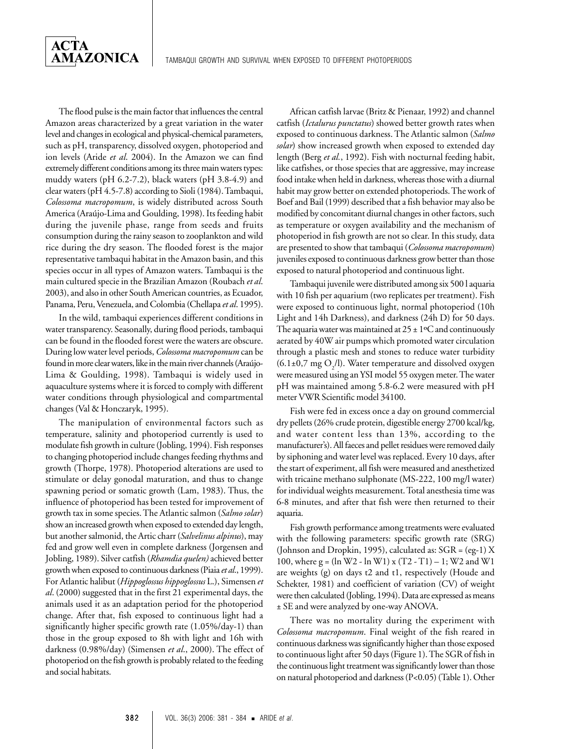The flood pulse is the main factor that influences the central Amazon areas characterized by a great variation in the water level and changes in ecological and physical-chemical parameters, such as pH, transparency, dissolved oxygen, photoperiod and ion levels (Aride *et al*. 2004). In the Amazon we can find extremely different conditions among its three main waters types: muddy waters (pH 6.2-7.2), black waters (pH 3.8-4.9) and clear waters (pH 4.5-7.8) according to Sioli (1984). Tambaqui, *Colossoma macropomum*, is widely distributed across South America (Araújo-Lima and Goulding, 1998). Its feeding habit during the juvenile phase, range from seeds and fruits consumption during the rainy season to zooplankton and wild rice during the dry season. The flooded forest is the major representative tambaqui habitat in the Amazon basin, and this species occur in all types of Amazon waters. Tambaqui is the main cultured specie in the Brazilian Amazon (Roubach *et al*. 2003), and also in other South American countries, as Ecuador, Panama, Peru, Venezuela, and Colombia (Chellapa *et al*. 1995).

**ACTA** 

**AMAZONICA** 

In the wild, tambaqui experiences different conditions in water transparency. Seasonally, during flood periods, tambaqui can be found in the flooded forest were the waters are obscure. During low water level periods, *Colossoma macropomum* can be found in more clear waters, like in the main river channels (Araújo-Lima & Goulding, 1998). Tambaqui is widely used in aquaculture systems where it is forced to comply with different water conditions through physiological and compartmental changes (Val & Honczaryk, 1995).

The manipulation of environmental factors such as temperature, salinity and photoperiod currently is used to modulate fish growth in culture (Jobling, 1994). Fish responses to changing photoperiod include changes feeding rhythms and growth (Thorpe, 1978). Photoperiod alterations are used to stimulate or delay gonodal maturation, and thus to change spawning period or somatic growth (Lam, 1983). Thus, the influence of photoperiod has been tested for improvement of growth tax in some species. The Atlantic salmon (*Salmo solar*) show an increased growth when exposed to extended day length, but another salmonid, the Artic charr (*Salvelinus alpinus*), may fed and grow well even in complete darkness (Jorgensen and Jobling, 1989). Silver catfish (*Rhamdia quelen)* achieved better growth when exposed to continuous darkness (Piaia *et al*., 1999). For Atlantic halibut (*Hippoglossus hippoglossus* L.), Simensen *et al*. (2000) suggested that in the first 21 experimental days, the animals used it as an adaptation period for the photoperiod change. After that, fish exposed to continuous light had a significantly higher specific growth rate (1.05%/day-1) than those in the group exposed to 8h with light and 16h with darkness (0.98%/day) (Simensen *et al*., 2000). The effect of photoperiod on the fish growth is probably related to the feeding and social habitats.

African catfish larvae (Britz & Pienaar, 1992) and channel catfish (*Ictalurus punctatus*) showed better growth rates when exposed to continuous darkness. The Atlantic salmon (*Salmo solar*) show increased growth when exposed to extended day length (Berg *et al.*, 1992). Fish with nocturnal feeding habit, like catfishes, or those species that are aggressive, may increase food intake when held in darkness, whereas those with a diurnal habit may grow better on extended photoperiods. The work of Boef and Bail (1999) described that a fish behavior may also be modified by concomitant diurnal changes in other factors, such as temperature or oxygen availability and the mechanism of photoperiod in fish growth are not so clear. In this study, data are presented to show that tambaqui (*Colossoma macropomum*) juveniles exposed to continuous darkness grow better than those exposed to natural photoperiod and continuous light.

Tambaqui juvenile were distributed among six 500 l aquaria with 10 fish per aquarium (two replicates per treatment). Fish were exposed to continuous light, normal photoperiod (10h Light and 14h Darkness), and darkness (24h D) for 50 days. The aquaria water was maintained at  $25 \pm 1$ °C and continuously aerated by 40W air pumps which promoted water circulation through a plastic mesh and stones to reduce water turbidity  $(6.1\pm0.7 \text{ mg O}_2/l)$ . Water temperature and dissolved oxygen were measured using an YSI model 55 oxygen meter. The water pH was maintained among 5.8-6.2 were measured with pH meter VWR Scientific model 34100.

Fish were fed in excess once a day on ground commercial dry pellets (26% crude protein, digestible energy 2700 kcal/kg, and water content less than 13%, according to the manufacturer's). All faeces and pellet residues were removed daily by siphoning and water level was replaced. Every 10 days, after the start of experiment, all fish were measured and anesthetized with tricaine methano sulphonate (MS-222, 100 mg/l water) for individual weights measurement. Total anesthesia time was 6-8 minutes, and after that fish were then returned to their aquaria.

Fish growth performance among treatments were evaluated with the following parameters: specific growth rate (SRG) (Johnson and Dropkin, 1995), calculated as: SGR = (eg-1) X 100, where  $g = (\ln W2 - \ln W1) x (T2 - T1) - 1$ ; W2 and W1 are weights (g) on days t2 and t1, respectively (Houde and Schekter, 1981) and coefficient of variation (CV) of weight were then calculated (Jobling, 1994). Data are expressed as means ± SE and were analyzed by one-way ANOVA.

There was no mortality during the experiment with *Colossoma macropomum*. Final weight of the fish reared in continuous darkness was significantly higher than those exposed to continuous light after 50 days (Figure 1). The SGR of fish in the continuous light treatment was significantly lower than those on natural photoperiod and darkness (P<0.05) (Table 1). Other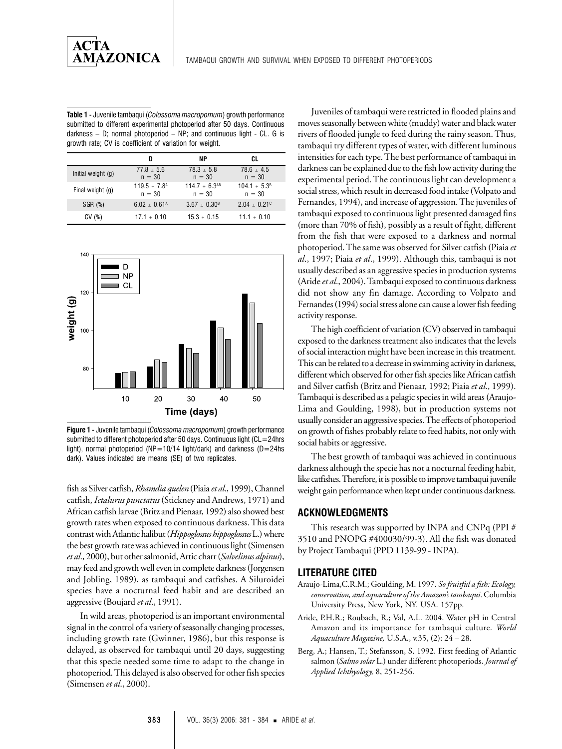AMAZONICA

| <b>Table 1 -</b> Juvenile tambagui (Colossoma macropomum) growth performance |
|------------------------------------------------------------------------------|
| submitted to different experimental photoperiod after 50 days. Continuous    |
| darkness $-$ D; normal photoperiod $-$ NP; and continuous light $-$ CL. G is |
| growth rate: CV is coefficient of variation for weight.                      |

|                      | D                                        | ΝP                             | CL                            |
|----------------------|------------------------------------------|--------------------------------|-------------------------------|
| Initial weight $(q)$ | $77.8 \pm 5.6$<br>$n = 30$               | $78.3 \pm 5.8$<br>$n = 30$     | $78.6 + 4.5$<br>$n = 30$      |
| Final weight (g)     | $119.5 \pm 7.8$ <sup>A</sup><br>$n = 30$ | $114.7 + 6.3^{AB}$<br>$n = 30$ | $104.1 \pm 5.3^B$<br>$n = 30$ |
| SGR (%)              | $6.02 + 0.61A$                           | $3.67 + 0.30B$                 | $2.04 + 0.21$ <sup>c</sup>    |
| CV(%)                | $17.1 \pm 0.10$                          | $15.3 + 0.15$                  | $11.1 \pm 0.10$               |



**Figure 1 -** Juvenile tambaqui (*Colossoma macropomum*) growth performance submitted to different photoperiod after 50 days. Continuous light (CL=24hrs light), normal photoperiod (NP=10/14 light/dark) and darkness (D=24hs dark). Values indicated are means (SE) of two replicates.

fish as Silver catfish, *Rhamdia quelen* (Piaia *et al*., 1999), Channel catfish, *Ictalurus punctatus* (Stickney and Andrews, 1971) and African catfish larvae (Britz and Pienaar, 1992) also showed best growth rates when exposed to continuous darkness. This data contrast with Atlantic halibut (*Hippoglossus hippoglossus* L.) where the best growth rate was achieved in continuous light (Simensen *et al*., 2000), but other salmonid, Artic charr (*Salvelinus alpinus*), may feed and growth well even in complete darkness (Jorgensen and Jobling, 1989), as tambaqui and catfishes. A Siluroidei species have a nocturnal feed habit and are described an aggressive (Boujard *et al*., 1991).

In wild areas, photoperiod is an important environmental signal in the control of a variety of seasonally changing processes, including growth rate (Gwinner, 1986), but this response is delayed, as observed for tambaqui until 20 days, suggesting that this specie needed some time to adapt to the change in photoperiod. This delayed is also observed for other fish species (Simensen *et al*., 2000).

Juveniles of tambaqui were restricted in flooded plains and moves seasonally between white (muddy) water and black water rivers of flooded jungle to feed during the rainy season. Thus, tambaqui try different types of water, with different luminous intensities for each type. The best performance of tambaqui in darkness can be explained due to the fish low activity during the experimental period. The continuous light can development a social stress, which result in decreased food intake (Volpato and Fernandes, 1994), and increase of aggression. The juveniles of tambaqui exposed to continuous light presented damaged fins (more than 70% of fish), possibly as a result of fight, different from the fish that were exposed to a darkness and normal photoperiod. The same was observed for Silver catfish (Piaia *et al*., 1997; Piaia *et al*., 1999). Although this, tambaqui is not usually described as an aggressive species in production systems (Aride *et al*., 2004). Tambaqui exposed to continuous darkness did not show any fin damage. According to Volpato and Fernandes (1994) social stress alone can cause a lower fish feeding activity response.

The high coefficient of variation (CV) observed in tambaqui exposed to the darkness treatment also indicates that the levels of social interaction might have been increase in this treatment. This can be related to a decrease in swimming activity in darkness, different which observed for other fish species like African catfish and Silver catfish (Britz and Pienaar, 1992; Piaia *et al*., 1999). Tambaqui is described as a pelagic species in wild areas (Araujo-Lima and Goulding, 1998), but in production systems not usually consider an aggressive species. The effects of photoperiod on growth of fishes probably relate to feed habits, not only with social habits or aggressive.

The best growth of tambaqui was achieved in continuous darkness although the specie has not a nocturnal feeding habit, like catfishes. Therefore, it is possible to improve tambaqui juvenile weight gain performance when kept under continuous darkness.

# **ACKNOWLEDGMENTS**

This research was supported by INPA and CNPq (PPI # 3510 and PNOPG #400030/99-3). All the fish was donated by Project Tambaqui (PPD 1139-99 - INPA).

# **LITERATURE CITED**

- Araujo-Lima,C.R.M.; Goulding, M. 1997. *So fruitful a fish: Ecology, conservation, and aquaculture of the Amazon's tambaqui*. Columbia University Press, New York, NY. USA. 157pp.
- Aride, P.H.R.; Roubach, R.; Val, A.L. 2004. Water pH in Central Amazon and its importance for tambaqui culture. *World Aquaculture Magazine,* U.S.A., v.35, (2): 24 – 28.
- Berg, A.; Hansen, T.; Stefansson, S. 1992. First feeding of Atlantic salmon (*Salmo solar* L.) under different photoperiods. *Journal of Applied Ichthyology,* 8, 251-256.